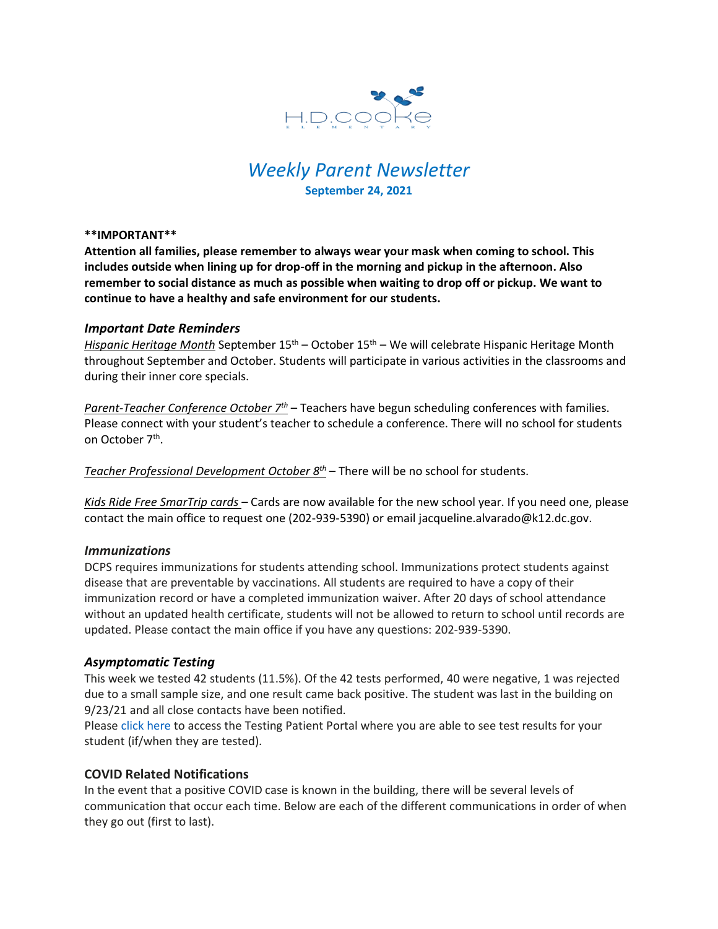

# *Weekly Parent Newsletter* **September 24, 2021**

#### **\*\*IMPORTANT\*\***

**Attention all families, please remember to always wear your mask when coming to school. This includes outside when lining up for drop-off in the morning and pickup in the afternoon. Also remember to social distance as much as possible when waiting to drop off or pickup. We want to continue to have a healthy and safe environment for our students.** 

### *Important Date Reminders*

*Hispanic Heritage Month* September 15th – October 15th – We will celebrate Hispanic Heritage Month throughout September and October. Students will participate in various activities in the classrooms and during their inner core specials.

*Parent-Teacher Conference October 7th* – Teachers have begun scheduling conferences with families. Please connect with your student's teacher to schedule a conference. There will no school for students on October 7th .

*Teacher Professional Development October 8th* – There will be no school for students.

*Kids Ride Free SmarTrip cards* – Cards are now available for the new school year. If you need one, please contact the main office to request one (202-939-5390) or email jacqueline.alvarado@k12.dc.gov.

### *Immunizations*

DCPS requires immunizations for students attending school. Immunizations protect students against disease that are preventable by vaccinations. All students are required to have a copy of their immunization record or have a completed immunization waiver. After 20 days of school attendance without an updated health certificate, students will not be allowed to return to school until records are updated. Please contact the main office if you have any questions: 202-939-5390.

### *Asymptomatic Testing*

This week we tested 42 students (11.5%). Of the 42 tests performed, 40 were negative, 1 was rejected due to a small sample size, and one result came back positive. The student was last in the building on 9/23/21 and all close contacts have been notified.

Please click here to access the Testing Patient Portal where you are able to see test results for your student (if/when they are tested).

### **COVID Related Notifications**

In the event that a positive COVID case is known in the building, there will be several levels of communication that occur each time. Below are each of the different communications in order of when they go out (first to last).